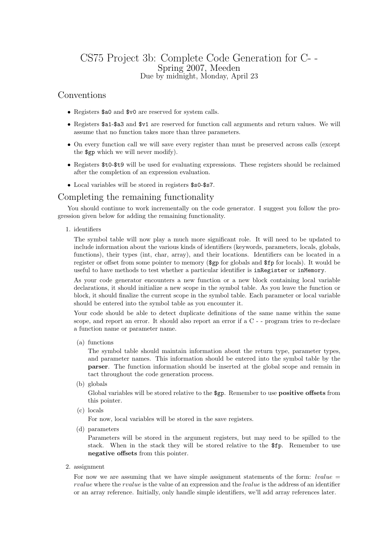# CS75 Project 3b: Complete Code Generation for C- - Spring 2007, Meeden Due by midnight, Monday, April 23

## Conventions

- Registers \$20 and \$v0 are reserved for system calls.
- Registers \$a1-\$a3 and \$v1 are reserved for function call arguments and return values. We will assume that no function takes more than three parameters.
- On every function call we will save every register than must be preserved across calls (except the \$gp which we will never modify).
- Registers \$t0-\$t9 will be used for evaluating expressions. These registers should be reclaimed after the completion of an expression evaluation.
- Local variables will be stored in registers \$s0-\$s7.

### Completing the remaining functionality

You should continue to work incrementally on the code generator. I suggest you follow the progression given below for adding the remaining functionality.

1. identifiers

The symbol table will now play a much more significant role. It will need to be updated to include information about the various kinds of identifiers (keywords, parameters, locals, globals, functions), their types (int, char, array), and their locations. Identifiers can be located in a register or offset from some pointer to memory (\$gp for globals and \$fp for locals). It would be useful to have methods to test whether a particular identifier is inRegister or inMemory.

As your code generator encounters a new function or a new block containing local variable declarations, it should initialize a new scope in the symbol table. As you leave the function or block, it should finalize the current scope in the symbol table. Each parameter or local variable should be entered into the symbol table as you encounter it.

Your code should be able to detect duplicate definitions of the same name within the same scope, and report an error. It should also report an error if a C - - program tries to re-declare a function name or parameter name.

(a) functions

The symbol table should maintain information about the return type, parameter types, and parameter names. This information should be entered into the symbol table by the parser. The function information should be inserted at the global scope and remain in tact throughout the code generation process.

(b) globals

Global variables will be stored relative to the \$gp. Remember to use positive offsets from this pointer.

(c) locals

For now, local variables will be stored in the save registers.

(d) parameters

Parameters will be stored in the argument registers, but may need to be spilled to the stack. When in the stack they will be stored relative to the \$fp. Remember to use negative offsets from this pointer.

2. assignment

For now we are assuming that we have simple assignment statements of the form:  $lvalue =$ rvalue where the *rvalue* is the value of an expression and the *lvalue* is the address of an identifier or an array reference. Initially, only handle simple identifiers, we'll add array references later.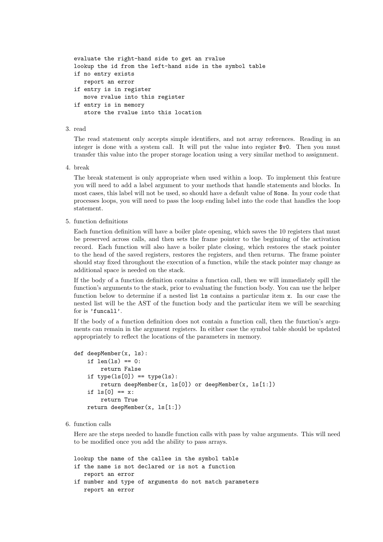```
evaluate the right-hand side to get an rvalue
lookup the id from the left-hand side in the symbol table
if no entry exists
   report an error
if entry is in register
   move rvalue into this register
if entry is in memory
   store the rvalue into this location
```
### 3. read

The read statement only accepts simple identifiers, and not array references. Reading in an integer is done with a system call. It will put the value into register \$v0. Then you must transfer this value into the proper storage location using a very similar method to assignment.

4. break

The break statement is only appropriate when used within a loop. To implement this feature you will need to add a label argument to your methods that handle statements and blocks. In most cases, this label will not be used, so should have a default value of None. In your code that processes loops, you will need to pass the loop ending label into the code that handles the loop statement.

5. function definitions

Each function definition will have a boiler plate opening, which saves the 10 registers that must be preserved across calls, and then sets the frame pointer to the beginning of the activation record. Each function will also have a boiler plate closing, which restores the stack pointer to the head of the saved registers, restores the registers, and then returns. The frame pointer should stay fixed throughout the execution of a function, while the stack pointer may change as additional space is needed on the stack.

If the body of a function definition contains a function call, then we will immediately spill the function's arguments to the stack, prior to evaluating the function body. You can use the helper function below to determine if a nested list ls contains a particular item x. In our case the nested list will be the AST of the function body and the particular item we will be searching for is 'funcall'.

If the body of a function definition does not contain a function call, then the function's arguments can remain in the argument registers. In either case the symbol table should be updated appropriately to reflect the locations of the parameters in memory.

```
def deepMember(x, ls):
   if len(ls) == 0:
       return False
   if type(ls[0]) == type(ls):return deepMember(x, ls[0]) or deepMember(x, ls[1:])
   if ls[0] == x:
        return True
   return deepMember(x, ls[1:])
```
### 6. function calls

Here are the steps needed to handle function calls with pass by value arguments. This will need to be modified once you add the ability to pass arrays.

```
lookup the name of the callee in the symbol table
if the name is not declared or is not a function
   report an error
if number and type of arguments do not match parameters
   report an error
```